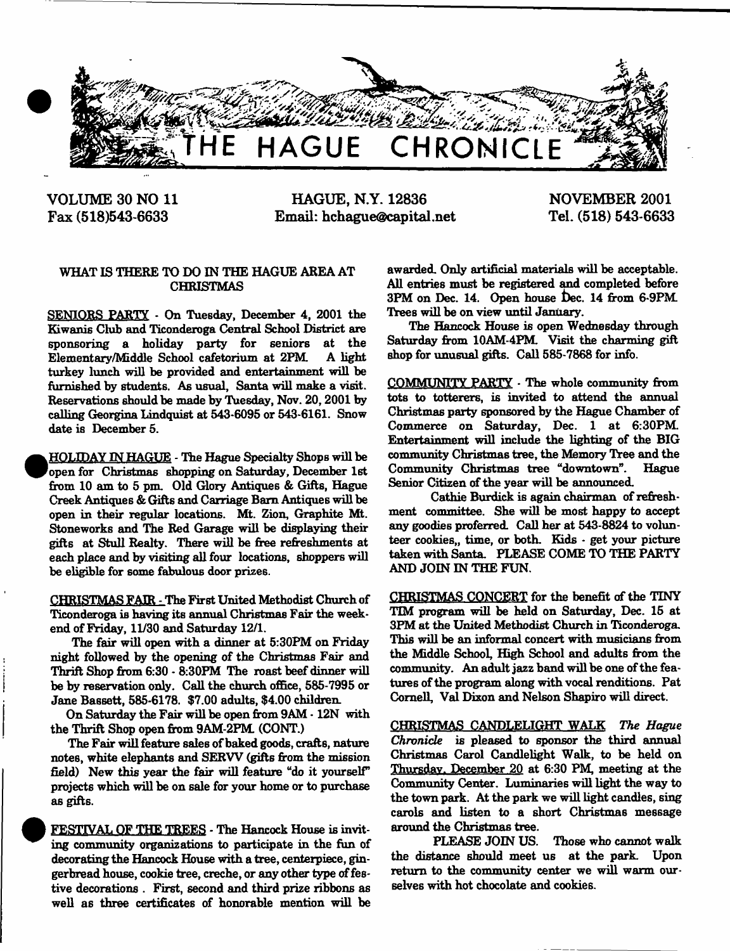

**VOLUME 30 NO 11 Fax (518)543-6633**

**HAGUE, N.Y. 12836 Email: [hchague@capital.net](mailto:hchague@capital.net)** **NOVEMBER 2001 Tel. (518) 543-6633**

# WHAT IS THERE TO DO IN THE HAGUE AREA AT CHRISTMAS

SENIORS PARTY - On Tuesday, December 4, 2001 the Kiwanis Club and Ticonderoga Central School District are sponsoring a holiday party for seniors at the Elementary/Middle School cafetorium at 2PM. A light turkey lunch will be provided and entertainment will be furnished by students. As usual, Santa will make a visit. Reservations should be made by Tuesday, Nov. 20,2001 by calling Georgina Lindquist at 543-6095 or 543-6161. Snow date is December 5.

.HOLIDAY IN HAGUE - The Hague Specialty Shops will be 'open for Christmas shopping on Saturday, December 1st from 10 am to 5 pm. Old Glory Antiques *&* Gifts, Hague Creek Antiques & Gifts and Carriage Bam Antiques will be open in their regular locations. Mt. Zion, Graphite Mt. Stoneworks and The Red Garage will be displaying their gifts at Stull Realty. There will be free refreshments at each place and by visiting all four locations, shoppers will be eligible for some fabulous door prizes.

CHRISTMAS FAIR - The First United Methodist Church of Ticonderoga is having its annual Christmas Fair the weekend of Friday, 11/30 and Saturday 12/1.

The fair will open with a dinner at 5:30PM on Friday night followed by the opening of the Christmas Fair and Thrift Shop from 6:30 - 8:30PM The roast beef dinner will be by reservation only. Call the church office, 585-7995 or Jane Bassett, 585-6178. \$7.00 adults, \$4.00 children.

On Saturday the Fair will be open from 9AM • 12N with the Thrift Shop open from 9AM-2PM. (CONT.)

The Fair will feature sales of baked goods, crafts, nature notes, white elephants and SERW (gifts from the mission field) New this year the fair will feature "do it yourself" projects which will be on sale for your home or to purchase as gifts.

FESTIVAL OF THE TREES - The Hancock House is inviting community organizations to participate in the fun of decorating the Hancock House with a tree, centerpiece, gingerbread house, cookie tree, creche, or any other type of festive decorations . First, second and third prize ribbons as well as three certificates of honorable mention will be awarded. Only artificial materials will be acceptable. All entries must be registered and completed before 3PM on Dec. 14. Open house Dec. 14 from 6-9PM Trees will be on view until January.

The Hancock House is open Wednesday through Saturday from 10AM-4PM. Visit the charming gift shop for unusual gifts. Call 585-7868 for info.

COMMUNITY PARTY - The whole community from tots to totterers, is invited to attend the annual Christmas party sponsored by the Hague Chamber of Commerce on Saturday, Dec. 1 at 6:30PM. Entertainment will include the lighting of the BIG community Christmas tree, the Memory Tree and the Community Christmas tree "downtown". Hague Senior Citizen of the year will be announced.

Cathie Burdick is again chairman of refreshment committee. She will be most happy to accept any goodies preferred. Call her at 543-8824 to volunteer cookies,, time, or both. Kids • get your picture taken with Santa. PLEASE COME TO THE PARTY AND JOIN IN THE FUN.

CHRISTMAS CONCERT for the benefit of the TINY TIM program will be held on Saturday, Dec. 15 at 3PM at the United Methodist Church in Ticonderoga. This will be an informal concert with musicians from the Middle School, High School and adults from the community. An adult jazz hand will be one of the features of the program along with vocal renditions. Pat Cornell, Val Dixon and Nelson Shapiro will direct.

CHRISTMAS CANDLELIGHT WALK *The Hague Chronicle* is pleased to sponsor the third annual Christmas Carol Candlelight Walk, to be held on Thursday, December 20 at 6:30 PM, meeting at the Community Center. Luminaries will light the way to the town park. At the park we will light candles, sing carols and listen to a short Christmas message around the Christmas tree.

PLEASE JOIN US. Those who cannot walk the distance should meet us at the park. Upon return to the community center we will warm ourselves with hot chocolate and cookies.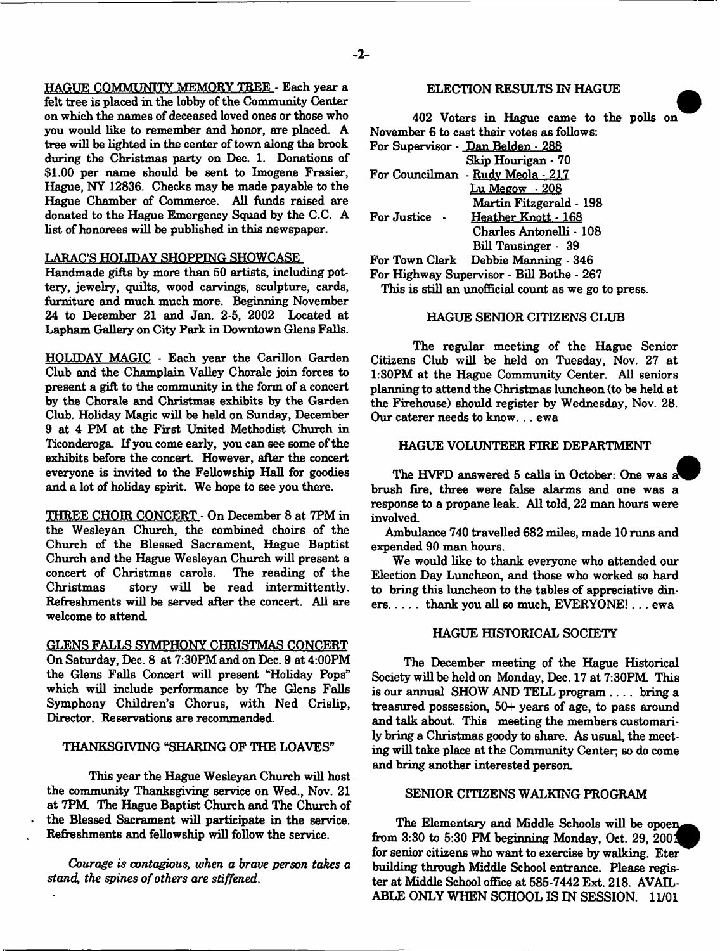HAGUE COMMUNITY MEMORY TREE - Each year a felt tree is placed in the lobby of the Community Center on which the names of deceased loved ones or those who you would like to remember and honor, are placed. A tree will be lighted in the center of town along the brook during the Christmas party on Dec. 1. Donations of \$1.00 per name should be sent to Imogene Frasier, Hague, NY 12836. Checks may be made payable to the Hague Chamber of Commerce. All funds raised are donated to the Hague Emergency Squad by the C.C. A list of honorees will be published in this newspaper.

# LARAC'S HOLIDAY SHOPPING SHOWCASE

Handmade gifts by more than 50 artists, including pottery, jewelry, quilts, wood carvings, sculpture, cards, furniture and much much more. Beginning November 24 to December 21 and Jan. 2-5, 2002 Located at Lapham Gallery on City Park in Downtown Glens Falls.

HOLIDAY MAGIC - Each year the Carillon Garden Club and the Champlain Valley Chorale join forces to present a gift to the community in the form of a concert by the Chorale and Christmas exhibits by the Garden Club. Holiday Magic will be held on Sunday, December 9 at 4 PM at the First United Methodist Church in Ticonderoga. If you come early, you can see some of the exhibits before the concert. However, after the concert everyone is invited to the Fellowship Hall for goodies and a lot of holiday spirit. We hope to see you there.

THREE CHOIR CONCERT - On December 8 at 7PM in the Wesleyan Church, the combined choirs of the Church of the Blessed Sacrament, Hague Baptist Church and the Hague Wesleyan Church will present a concert of Christmas carols. The reading of the Christmas story will be read intermittently. Refreshments will be served after the concert. All are welcome to attend.

GLENS FALLS SYMPHONY CHRISTMAS CONCERT On Saturday, Dec. 8 at 7:30PM and on Dec. 9 at 4:00PM the Glens Falls Concert will present "Holiday Pops" which will include performance by The Glens Falls Symphony Children's Chorus, with Ned Crislip, Director. Reservations are recommended.

# THANKSGIVING "SHARING OF THE LOAVES"

This year the Hague Wesleyan Church will host the community Thanksgiving service on Wed., Nov. 21 at 7PM The Hague Baptist Church and The Church of the Blessed Sacrament will participate in the service. Refreshments and fellowship will follow the service.

*Courage is contagious, when a brave person takes a stand, the spines of others are stiffened*.

#### ELECTION RESULTS IN HAGUE

402 Voters in Hague came to the polls on November 6 to cast their votes as follows: For Supervisor - Dan Belden - 288

| Skip Hourigan · 70 |  |
|--------------------|--|
|--------------------|--|

For Councilman - Rudv Meola - 217 Lu Megow - 208

Martin Fitzgerald - 198 For Justice - Heather Knott - 168 Charles Antonelli -108

Bill Tausinger - 39

For Town Clerk Debbie Manning - 346

For Highway Supervisor - Bill Bothe - 267

This is still an unofficial count as we go to press.

#### HAGUE SENIOR CITIZENS CLUB

The regular meeting of the Hague Senior Citizens Club will be held on Tuesday, Nov. 27 at 1:30PM at the Hague Community Center. All seniors planning to attend the Christmas luncheon (to be held at the Firehouse) should register by Wednesday, Nov. 28. Our caterer needs to know... ewa

# HAGUE VOLUNTEER FIRE DEPARTMENT

The HVFD answered 5 calls in October: One was a brush fire, three were false alarms and one was a response to a propane leak. All told, 22 man hours were involved.

Ambulance 740 travelled 682 miles, made 10 runs and expended 90 man hours.

We would like to thank everyone who attended our Election Day Luncheon, and those who worked so hard to bring this luncheon to the tables of appreciative din $ers. \ldots$  thank you all so much, EVERYONE!...  $ewa$ 

#### HAGUE HISTORICAL SOCIETY

The December meeting of the Hague Historical Society will be held on Monday, Dec. 17 at 7:30PM. This is our annual SHOW AND TELL program .... bring a treasured possession, 50+ years of age, to pass around and talk about. This meeting the members customarily bring a Christmas goody to share. As usual, the meeting will take place at the Community Center; so do come and bring another interested person.

#### SENIOR CITIZENS WALKING PROGRAM

The Elementary and Middle Schools will be opoen. from  $3:30$  to  $5:30$  PM beginning Monday, Oct. 29, 2001 for senior citizens who want to exercise by walking. Eter building through Middle School entrance. Please register at Middle School office at 585-7442 Ext. 218. AVAIL-ABLE ONLY WHEN SCHOOL IS IN SESSION. 11/01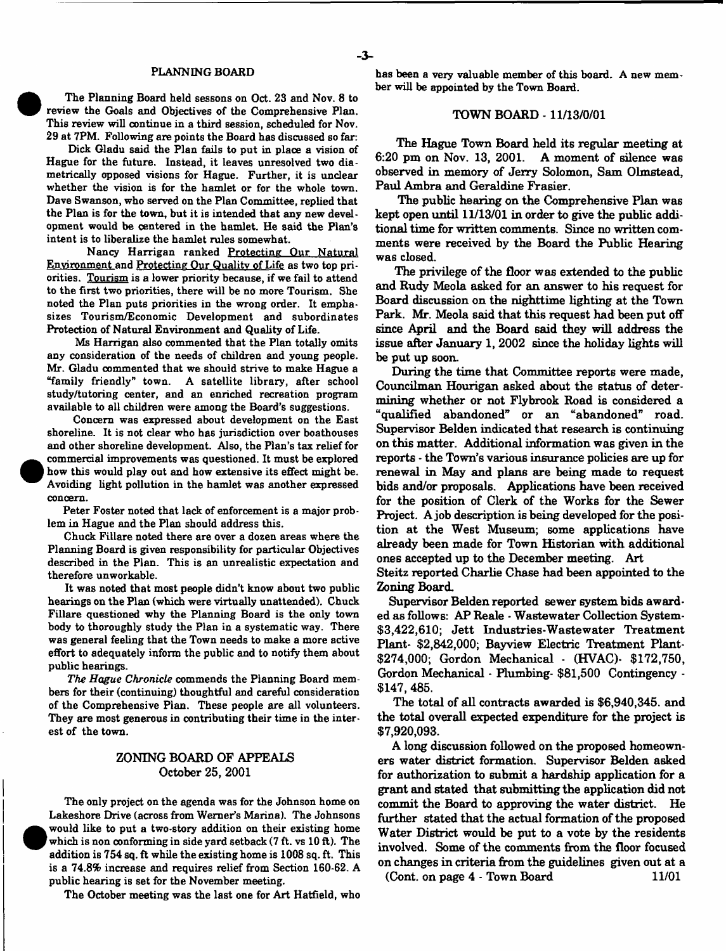#### PLANNING BOARD

The Planning Board held seasons on Oct. 23 and Nov. 8 to review the Goals and Objectives of the Comprehensive Plan. This review will continue in a third session, scheduled for Nov. 29 at 7PM. Following are points the Board has discussed so far:

Dick Gladu said the Plan fails to put in place a vision of Hague for the future. Instead, it leaves unresolved two diametrically opposed visions for Hague. Further, it is unclear whether the vision is for the hamlet or for the whole town. Dave Swanson, who served on the Plan Committee, replied that the Plan is for the town, but it is intended that any new development would be centered in the hamlet. He said the Plan's intent is to liberalize the hamlet rules somewhat.

Nancy Harrigan ranked Protecting Our Natural Environment and Protecting Our Quality of Life as two top priorities. Tourism is a lower priority because, if we fail to attend to the first two priorities, there will be no more Tourism. She noted the Plan puts priorities in the wrong order. It emphasizes Tourism/Economic Development and subordinates Protection of Natural Environment and Quality of Life.

Ms Harrigan also commented that the Plan totally omits any consideration of the needs of children and young people. Mr. Gladu commented that we should strive to make Hague a "family friendly" town. A satellite library, after school study/tutoring center, and an enriched recreation program available to all children were among the Board's suggestions.

Concern was expressed about development on the East shoreline. It is not clear who has jurisdiction over boathouses and other shoreline development. Also, the Plan's tax relief for commercial improvements was questioned. It must be explored how this would play out and how extensive its effect might be. Avoiding light pollution in the hamlet was another expressed concern.

Peter Foster noted that lack of enforcement is a major problem in Hague and the Plan should address this.

Chuck Fillare noted there are over a dozen areas where the Planning Board is given responsibility for particular Objectives described in the Plan. This is an unrealistic expectation and therefore unworkable.

It was noted that most people didn't know about two public hearings on the Plan (which were virtually unattended). Chuck Fillare questioned why the Planning Board is the only town body to thoroughly study the Plan in a systematic way. There was general feeling that the Town needs to make a more active effort to adequately inform the public and to notify them about public hearings.

*The Hague Chronicle* commends the Planning Board members for their (continuing) thoughtful and careful consideration of the Comprehensive Plan. These people are all volunteers. They are most generous in contributing their time in the interest of the town.

### ZONING BOARD OF APPEALS October 25, 2001

The only project on the agenda was for the Johnson home on Lakeshore Drive (across from Werner's Marina). The Johnsons .would like to put a two-story addition on their existing home **F** which is non conforming in side yard setback (7 ft. vs 10 ft). The addition is 754 sq. ft while the existing home is 1008 sq. ft. This is a 74.8% increase and requires relief from Section 160-62. A public hearing is set for the November meeting.

The October meeting was the last one for Art Hatfield, who

has been a very valuable member of this board. A new member will be appointed by the Town Board.

#### TOWN BOARD -11/13/0/01

The Hague Town Board held its regular meeting at 6:20 pm on Nov. 13, 2001. A moment of silence was observed in memory of Jerry Solomon, Sam Olmstead, Paul Ambra and Geraldine Frasier.

The public hearing on the Comprehensive Plan was kept open until 11/13/01 in order to give the public additional time for written comments. Since no written comments were received by the Board the Public Hearing was closed.

The privilege of the floor was extended to the public and Rudy Meola asked for an answer to his request for Board discussion on the nighttime lighting at the Town Park. Mr. Meola said that this request had been put off since April and the Board said they will address the issue after January 1,2002 since the holiday lights will be put up soon.

During the time that Committee reports were made, Councilman Hourigan asked about the status of determining whether or not Flybrook Road is considered a "qualified abandoned" or an "abandoned" road. Supervisor Belden indicated that research is continuing on this matter. Additional information was given in the reports - the Town's various insurance policies are up for renewal in May and plans are being made to request bids and/or proposals. Applications have been received for the position of Clerk of the Works for the Sewer Project. A job description is being developed for the position at the West Museum; some applications have already been made for Town Historian with additional ones accepted up to the December meeting. Art

Steitz reported Charlie Chase had been appointed to the Zoning Board.

Supervisor Belden reported sewer system bids awarded as follows: AP Reale - Wastewater Collection System- \$3,422,610; Jett Industries-Wastewater Treatment Plant- \$2,842,000; Bayview Electric Treatment Plant- \$274,000; Gordon Mechanical - (HVAC)- \$172,750, Gordon Mechanical - Plumbing- \$81,500 Contingency - \$147, 485.

The total of all contracts awarded is \$6,940,345. and the total overall expected expenditure for the project is \$7,920,093.

A long discussion followed on the proposed homeowners water district formation. Supervisor Belden asked for authorization to submit a hardship application for a grant and stated that submitting the application did not commit the Board to approving the water district. He further stated that the actual formation of the proposed Water District would be put to a vote by the residents involved. Some of the comments from the floor focused on changes in criteria from the guidelines given out at a (Cont. on page 4 - Town Board 11/01)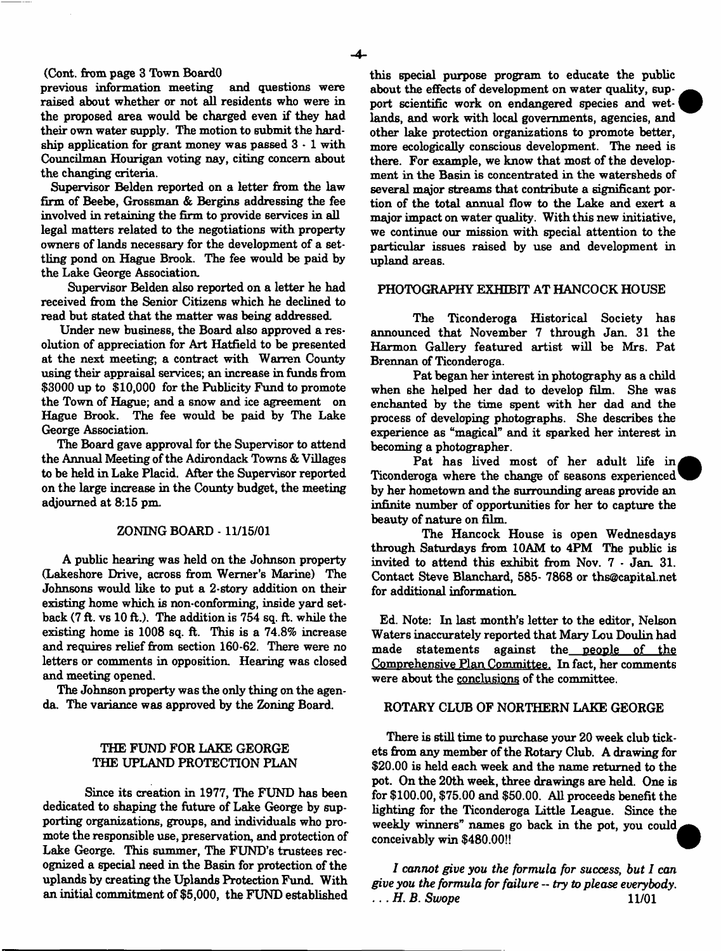#### (Cont. from page 3 Town BoardO

previous information meeting and questions were raised about whether or not all residents who were in the proposed area would be charged even if they had their own water supply. The motion to submit the hardship application for grant money was passed  $3 \cdot 1$  with Councilman Hourigan voting nay, citing concern about the changing criteria.

Supervisor Belden reported on a letter from the law firm of Beebe, Grossman & Bergins addressing the fee involved in retaining the firm to provide services in all legal matters related to the negotiations with property owners of lands necessary for the development of a settling pond on Hague Brook. The fee would be paid by the Lake George Association.

Supervisor Belden also reported on a letter he had received from the Senior Citizens which he declined to read but stated that the matter was being addressed.

Under new business, the Board also approved a resolution of appreciation for Art Hatfield to be presented at the next meeting; a contract with Warren County using their appraisal services; an increase in funds from \$3000 up to \$10,000 for the Publicity Fund to promote the Town of Hague; and a snow and ice agreement on Hague Brook. The fee would be paid by The Lake George Association.

The Board gave approval for the Supervisor to attend the Annual Meeting of the Adirondack Towns & Villages to be held in Lake Placid. After the Supervisor reported on the large increase in the County budget, the meeting adjourned at 8:15 pm

#### ZONING BOARD - 11/15/01

A public hearing was held on the Johnson property (Lakeshore Drive, across from Werner's Marine) The Johnsons would like to put a 2-story addition on their existing home which is non-conforming, inside yard setback  $(7 \text{ ft. vs } 10 \text{ ft.})$ . The addition is 754 sq. ft. while the existing home is 1008 sq. ft. This is a 74.8% increase and requires relief from section 160-62. There were no letters or comments in opposition. Hearing was closed and meeting opened.

The Johnson property was the only thing on the agenda. The variance was approved by the Zoning Board.

### THE FUND FOR LAKE GEORGE THE UPLAND PROTECTION PLAN

Since its creation in 1977, The FUND has been dedicated to shaping the future of Lake George by supporting organizations, groups, and individuals who promote the responsible use, preservation, and protection of Lake George. This summer, The FUND'S trustees recognized a special need in the Basin for protection of the uplands by creating the Uplands Protection Fund. With an initial commitment of \$5,000, the FUND established this special purpose program to educate the public about the effects of development on water quality, support scientific work on endangered species and wetlands, and work with local governments, agencies, and other lake protection organizations to promote better, more ecologically conscious development. The need is there. For example, we know that most of the development in the Basin is concentrated in the watersheds of several major streams that contribute a significant portion of the total annual flow to the Lake and exert a major impact on water quality. With this new initiative, we continue our mission with special attention to the particular issues raised by use and development in upland areas.

#### PHOTOGRAPHY EXHIBIT AT HANCOCK HOUSE

The Ticonderoga Historical Society has announced that November 7 through Jan. 31 the Harmon Gallery featured artist will be Mrs. Pat Brennan of Ticonderoga.

Pat began her interest in photography as a child when she helped her dad to develop film. She was enchanted by the time spent with her dad and the process of developing photographs. She describes the experience as "magical" and it sparked her interest in becoming a photographer.

Pat has lived most of her adult life in, Ticonderoga where the change of seasons experienced by her hometown and the surrounding areas provide an infinite number of opportunities for her to capture the beauty of nature on film.

The Hancock House is open Wednesdays through Saturdays from 10AM to 4PM The public is invited to attend this exhibit from Nov. 7 • Jan. 31. Contact Steve Blanchard, 585- 7868 or [ths@capital.net](mailto:ths@capital.net)  for additional information.

Ed. Note: In last month's letter to the editor, Nelson Waters inaccurately reported that Mary Lou Doulin had made statements against the people of the Comprehensive Plan Committee. In fact, her comments were about the conclusions of the committee.

#### ROTARY CLUB OF NORTHERN LAKE GEORGE

There is still time to purchase your 20 week club tickets from any member of the Rotary Club. A drawing for \$20.00 is held each week and the name returned to the pot. On the 20th week, three drawings are held. One is for \$100.00, \$75.00 and \$50.00. All proceeds benefit the lighting for the Ticonderoga little League. Since the weekly winners" names go back in the pot, you could conceivably win \$480.00!!

*I cannot give you the formula for success*, *but I can give you the formula for failure — try to please everybody. ...KB. Swope* 11/01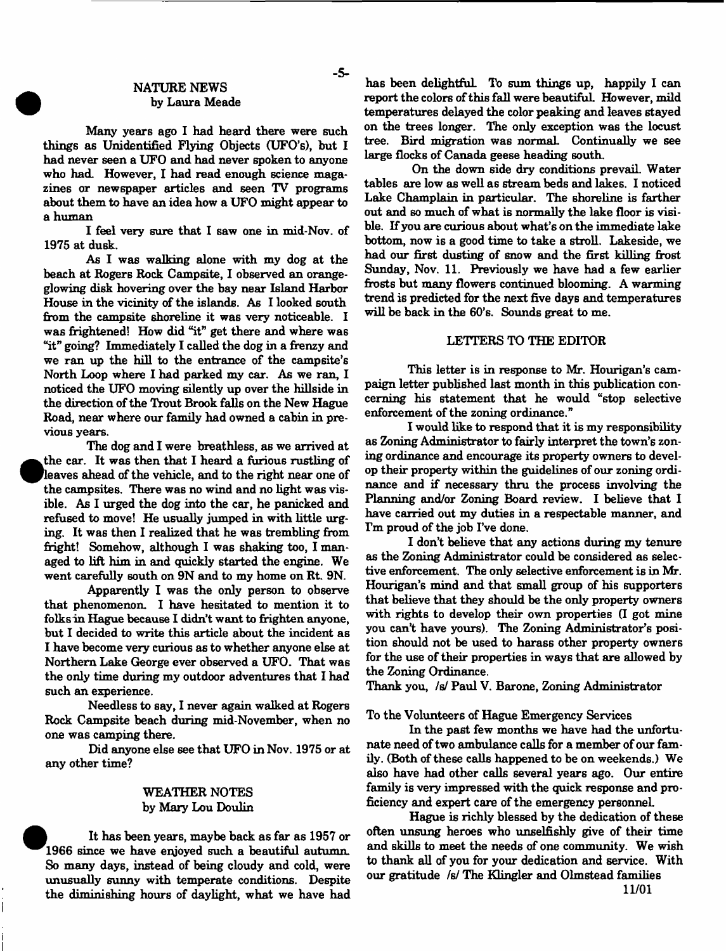#### NATURE NEWS by Laura Meade

- **5**-

Many years ago I had heard there were such things as Unidentified Flying Objects (UFO's), but I had never seen a UFO and had never spoken to anyone who had. However, I had read enough science magazines or newspaper articles and seen TV programs about them to have an idea how a UFO might appear to a human

I feel very sure that I saw one in mid-Nov. of 1975 at dusk.

As I was walking alone with my dog at the beach at Rogers Rock Campsite, I observed an orangeglowing disk hovering over the bay near Island Harbor House in the vicinity of the islands. As I looked south from the campsite shoreline it was very noticeable. I was frightened! How did "it" get there and where was "it" going? Immediately I called the dog in a frenzy and we ran up the hill to the entrance of the campsite's North Loop where I had parked my car. As we ran, I noticed the UFO moving silently up over the hillside in the direction of the Trout Brook falls on the New Hague Road, near where our family had owned a cabin in previous years.

The dog and I were breathless, as we arrived at the car. It was then that I heard a furious rustling of leaves ahead of the vehicle, and to the right near one of the campsites. There was no wind and no light was visible. As I urged the dog into the car, he panicked and refused to move! He usually jumped in with little urging. It was then I realized that he was trembling from fright! Somehow, although I was shaking too, I managed to lift him in and quickly started the engine. We went carefully south on 9N and to my home on Rt. 9N.

Apparently I was the only person to observe that phenomenon. I have hesitated to mention it to folks in Hague because I didn't want to frighten anyone, but I decided to write this article about the incident as I have become very curious as to whether anyone else at Northern Lake George ever observed a UFO. That was the only time during my outdoor adventures that I had such an experience.

Needless to say, I never again walked at Rogers Rock Campsite beach during mid-November, when no one was camping there.

Did anyone else see that UFO in Nov. 1975 or at any other time?

# WEATHER NOTES by Mary Lou Doulin

It has been years, maybe back as far as 1957 or 1966 since we have enjoyed such a beautiful autumn. So many days, instead of being cloudy and cold, were unusually sunny with temperate conditions. Despite the diminishing hours of daylight, what we have had

has been delightful. To sum things up, happily I can report the colors of this fall were beautiful. However, mild temperatures delayed the color peaking and leaves stayed on the trees longer. The only exception was the locust tree. Bird migration was normal Continually we see large flocks of Canada geese heading south.

On the down side dry conditions prevail. Water tables are low as well as stream beds and lakes. I noticed Lake Champlain in particular. The shoreline is farther out and so much of what is normally the lake floor is visible. If you are curious about what's on the immediate lake bottom, now is a good time to take a stroll. Lakeside, we had our first dusting of snow and the first killing frost Sunday, Nov. 11. Previously we have had a few earlier frosts but many flowers continued blooming. A warming trend is predicted for the next five days and temperatures will be back in the 60's. Sounds great to me.

#### LETTERS TO THE EDITOR

This letter is in response to Mr. Hourigan's campaign letter published last month in this publication concerning his statement that he would "stop selective enforcement of the zoning ordinance."

I would like to respond that it is my responsibility as Zoning Administrator to fairly interpret the town's zoning ordinance and encourage its property owners to develop their property within the guidelines of our zoning ordinance and if necessary thru the process involving the Planning and/or Zoning Board review. I believe that I have carried out my duties in a respectable manner, and I'm proud of the job I've done.

I don't believe that any actions during my tenure as the Zoning Administrator could be considered as selective enforcement. The only selective enforcement is in Mr. Hourigan's mind and that small group of his supporters that believe that they should be the only property owners with rights to develop their own properties (I got mine you can't have yours). The Zoning Administrator's position should not be used to harass other property owners for the use of their properties in ways that are allowed by the Zoning Ordinance.

Thank you, *Is!* Paul V. Barone, Zoning Administrator

To the Volunteers of Hague Emergency Services

In the past few months we have had the unfortunate need of two ambulance calls for a member of our family. (Both of these calls happened to be on weekends.) We also have had other calls several years ago. Our entire family is very impressed with the quick response and proficiency and expert care of the emergency personnel

Hague is richly blessed by the dedication of these often unsung heroes who unselfishly give of their time and skills to meet the needs of one community. We wish to thank all of you for your dedication and service. With our gratitude *Is!* The Klingler and Olmstead families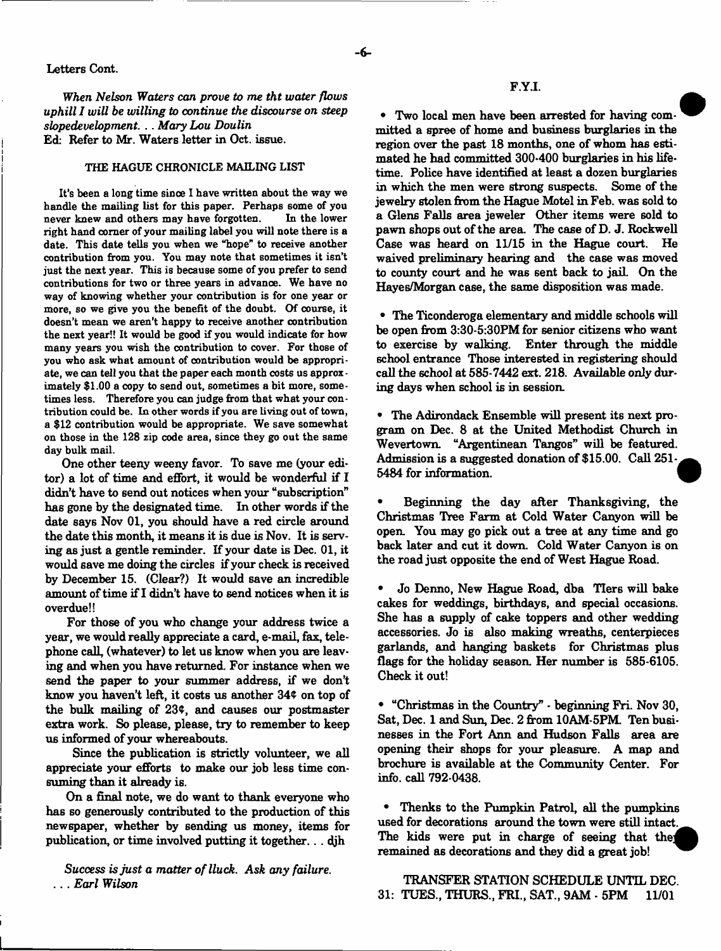#### Letters Cont.

*When Nelson Waters am prove to me tht water flows uphill I will be willing to continue the discourse on steep slopedevelopment.* .. *Mary Lou Doulin* Ed: Refer to Mr. Waters letter in Oct. issue.

#### THE HAGUE CHRONICLE MAILING LIST

It's been a long time sinoe I have written about the way we handle the mailing list for this paper. Perhaps some of you never knew and others may have forgotten. In the lower never knew and others may have forgotten. right hand comer of your mailing label you will note there is a date. This date tells you when we "hope" to receive another contribution from you. You may note that sometimes it isn't just the next year. This is because some of you prefer to send contributions for two or three years in advance. We have no way of knowing whether your contribution is for one year or more, so we give you the benefit of the doubt. Of course, it doesn't mean we aren't happy to receive another contribution the next year!! It would be good if you would indicate for how many years you wish the contribution to cover. For those of you who ask what amount of contribution would be appropriate, we can tell you that the paper each month costs us approximately \$1.00 a copy to send out, sometimes a bit more, sometimes less. Therefore you can judge from that what your contribution could be. In other words if you are living out of town, a \$12 contribution would be appropriate. We save somewhat on those in the 128 zip code area, since they go out the same day bulk mail.

One other teeny weeny favor. To save me (your editor) a lot of time and effort, it would be wonderful if I didn't have to send out notices when your "subscription" has gone by the designated time. In other words if the date says Nov 01, you should have a red circle around the date this month, it means it is due is Nov. It is serving as just a gentle reminder. If your date is Dec. 01, it would save me doing the circles if your check is received by December 15. (Clear?) It would save an incredible amount of time if I didn't have to send notices when it is overdue!!

For those of you who change your address twice a year, we would really appreciate a card, e-mail, fax, telephone call, (whatever) to let us know when you are leaving and when you have returned. For instance when we send the paper to your summer address, if we don't know you haven't left, it costs us another 34¢ on top of the bulk mailing of 23\$, and causes our postmaster extra work. So please, please, try to remember to keep us informed of your whereabouts.

Since the publication is strictly volunteer, we all appreciate your efforts to make our job less time consuming than it already is.

On a final note, we do want to thank everyone who has so generously contributed to the production of this newspaper, whether by sending us money, items for publication, or time involved putting it together... djh

*Success is just a matter of lluck. Ask any failure.* . . . *Earl Wilson*

• Two local men have been arrested for having committed a spree of home and business burglaries in the region over the past 18 months, one of whom has estimated he had committed 300-400 burglaries in his lifetime. Police have identified at least a dozen burglaries in which the men were strong suspects. Some of the jewelry stolen from the Hague Motel in Feb. was sold to a Glens Falls area jeweler Other items were sold to pawn shops out of the area. The case of D. J. Rockwell Case was heard on 11/15 in the Hague court. He waived preliminary hearing and the case was moved to county court and he was sent back to jail. On the Hayes/Morgan case, the same disposition was made.

• The Ticonderoga elementary and middle schools will be open from 3:30-5:30PM for senior citizens who want to exercise by walking. Enter through the middle school entrance Those interested in registering should call the school at 585-7442 ext. 218. Available only during days when school is in session.

• The Adirondack Ensemble will present its next program on Dec. 8 at the United Methodist Church in Wevertown. "Argentinean Tangos" will be featured. Admission is a suggested donation of \$15.00. Call 251-5484 for information.

• Beginning the day after Thanksgiving, the Christmas Tree Farm at Cold Water Canyon will be open. You may go pick out a tree at any time and go back later and cut it down. Cold Water Canyon is on the road just opposite the end of West Hague Road.

• Jo Denno, New Hague Road, dba TIer6 will bake cakes for weddings, birthdays, and special occasions. She has a supply of cake toppers and other wedding accessories. Jo is also making wreaths, centerpieces garlands, and hanging baskets for Christmas plus flags for the holiday season. Her number is 585-6105. Check it out!

• "Christmas in the Country" - beginning Fri. Nov 30, Sat, Dec. 1 and Sun, Dec. 2 from 10AM-5PM. Ten businesses in the Fort Ann and Hudson Falls area are opening their shops for your pleasure. A map and brochure is available at the Community Center. For info, call 792-0438.

\* Thenks to the Pumpkin Patrol, all the pumpkins used for decorations around the town were still intact. The kids were put in charge of seeing that the remained as decorations and they did a great job!

TRANSFER STATION SCHEDULE UNTIL DEC. 31: TUES., THURS., FRI., SAT., 9AM - 5PM 11/01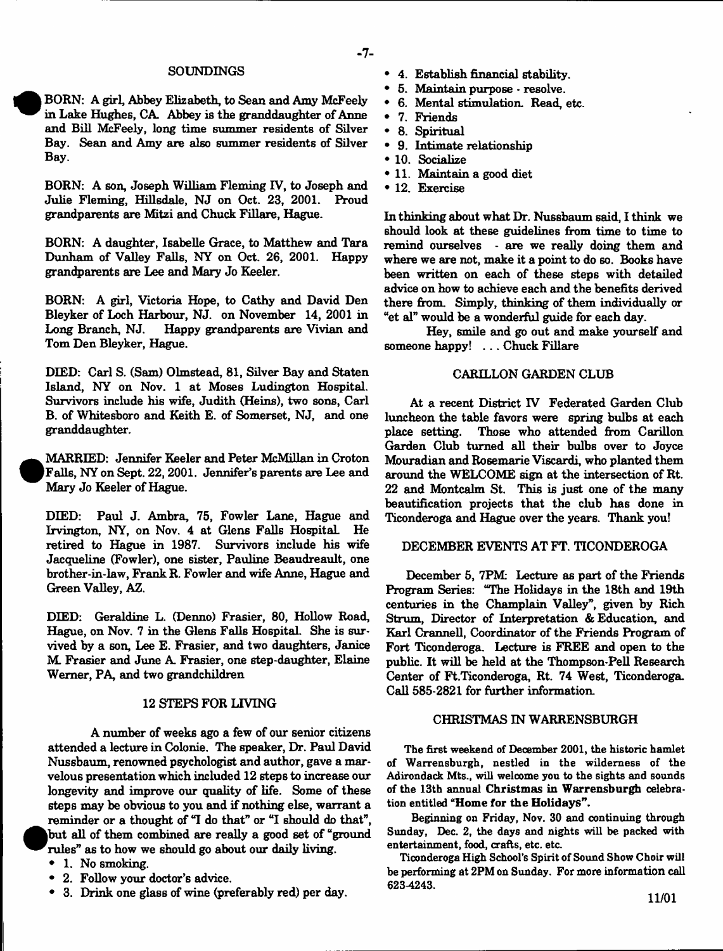#### **SOUNDINGS**

BORN: A girl, Abbey Elizabeth, to Sean and Amy McFeely in Lake Hughes, CA. Abbey is the granddaughter of Anne and Bill McFeely, long time summer residents of Silver Bay. Sean and Amy are also summer residents of Silver Bay.

BORN: A son, Joseph William Fleming IV, to Joseph and Julie Fleming. Hillsdale, NJ on Oct. 23, 2001. Proud Julie Fleming, Hillsdale, NJ on Oct. 23, 2001. grandparents are Mitzi and Chuck Fillare, Hague.

BORN: A daughter, Isabelle Grace, to Matthew and Tara Dunham of Valley Falls, NY on Oct. 26, 2001. Happy grandparents are Lee and Mary Jo Keeler.

BORN: A girl, Victoria Hope, to Cathy and David Den Bleyker of Loch Harbour, NJ. on November 14, 2001 in Happy grandparents are Vivian and Tom Den Bleyker, Hague.

DIED: Carl S. (Sam) Olmstead, 81, Silver Bay and Staten Island, NY on Nov. 1 at Moses Ludington Hospital. Survivors include his wife, Judith (Heins), two sons, Carl B. of Whitesboro and Keith E. of Somerset, NJ, and one granddaughter.

MARRIED: Jennifer Keeler and Peter McMillan in Croton (Falls, NY on Sept. 22, 2001. Jennifer's parents are Lee and Mary Jo Keeler of Hague.

DIED: Paul J. Ambra, 75, Fowler Lane, Hague and Irvington, NY, on Nov. 4 at Glens Falls Hospital. He retired to Hague in 1987. Survivors include his wife Jacqueline (Fowler), one sister, Pauline Beaudreault, one brother-in-law, Frank R. Fowler and wife Anne, Hague and Green Valley, AZ.

DIED: Geraldine L. (Denno) Frasier, 80, Hollow Road, Hague, on Nov. 7 in the Glens Falls Hospital. She is survived by a son, Lee E. Frasier, and two daughters, Janice M. Frasier and June A. Frasier, one step-daughter, Elaine Werner, PA, and two grandchildren

#### 12 STEPS FOR LIVING

A number of weeks ago a few of our senior citizens attended a lecture in Colonie. The speaker, Dr. Paul David Nussbaum, renowned psychologist and author, gave a marvelous presentation which included 12 steps to increase our longevity and improve our quality of life. Some of these steps may be obvious to you and if nothing else, warrant a reminder or a thought of "I do that" or "I should do that", |but all of them combined are really a good set of "ground rules" as to how we should go about our daily living.

- 1. No smoking.
- 2. Follow your doctor's advice.
- 3. Drink one glass of wine (preferably red) per day.
- \* 4. Establish financial stability.
- \* 5. Maintain purpose resolve.
- \* 6. Mental stimulation. Read, etc.
- \* 7. Friends
- \* 8. Spiritual
- 9. Intimate relationship
- \* 10. Socialize
- \* 11. Maintain a good diet
- \* 12. Exercise

In thinking about what Dr. Nussbaum said, I think we should look at these guidelines from time to time to remind ourselves - are we really doing them and where we are not, make it a point to do so. Books have been written on each of these steps with detailed advice on how to achieve each and the benefits derived there from. Simply, thinking of them individually or "et al" would be a wonderful guide for each day.

Hey, smile and go out and make yourself and someone happy! . . . Chuck Fillare

### CARILLON GARDEN CLUB

At a recent District IV Federated Garden Club luncheon the table favors were spring bulbs at each Those who attended from Carillon Garden Club turned all their bulbs over to Joyce Mouradian and Rosemarie Viscardi, who planted them around the WELCOME sign at the intersection of Rt. 22 and Montcalm St. This is just one of the many beautification projects that the club has done in Ticonderoga and Hague over the years. Thank you!

## DECEMBER EVENTS AT FT. TICONDEROGA

December 5, 7PM: Lecture as part of the Friends Program Series: "The Holidays in the 18th and 19th centuries in the Champlain Valley", given by Rich Strum, Director of Interpretation & Education, and Karl Crannell, Coordinator of the Friends Program of Fort Ticonderoga. Lecture is FREE and open to the public. It will be held at the Thompson-Pell Research Center of Ft.Ticonderoga, Rt. 74 West, Ticonderoga Call 585-2821 for further information.

#### CHRISTMAS IN WARRENSBURGH

The first weekend of December 2001, the historic hamlet of Warrensburgh, nestled in the wilderness of the Adirondack Mts., will welcome you to the sights and sounds of the 13th annual Christmas in Warrensburgh celebration entitled "Home for the Holidays".

Beginning on Friday, Nov. 30 and continuing through Sunday, Dec. 2, the days and nights will be packed with entertainment, food, crafts, etc. etc.

Ticonderoga High School's Spirit of Sound Show Choir will be performing at 2PM on Sunday. For more information call 623-4243.